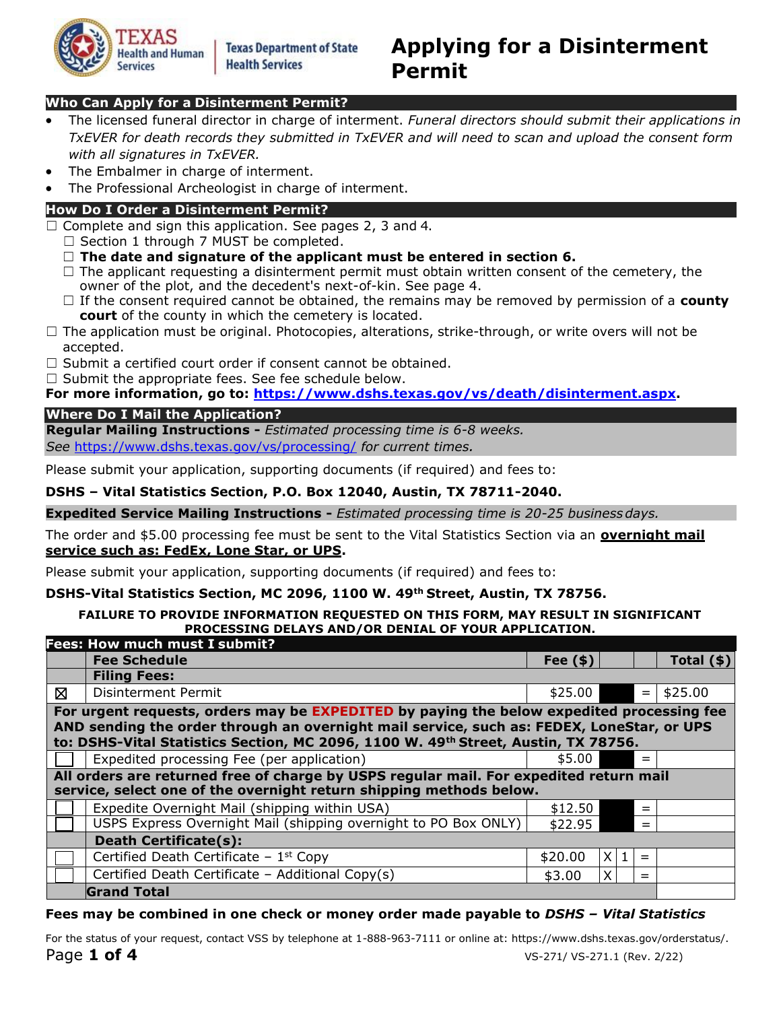

## **Who Can Apply for a Disinterment Permit?**

- The licensed funeral director in charge of interment. *Funeral directors should submit their applications in TxEVER for death records they submitted in TxEVER and will need to scan and upload the consent form with all signatures in TxEVER.*
- The Embalmer in charge of interment.
- The Professional Archeologist in charge of interment.

## **How Do I Order a Disinterment Permit?**

- $\Box$  Complete and sign this application. See pages 2, 3 and 4.
	- □ Section 1 through 7 MUST be completed.
	- ☐ **The date and signature of the applicant must be entered in section 6.**
	- $\Box$  The applicant requesting a disinterment permit must obtain written consent of the cemetery, the owner of the plot, and the decedent's next-of-kin. See page 4.
	- ☐ If the consent required cannot be obtained, the remains may be removed by permission of a **county court** of the county in which the cemetery is located.
- $\Box$  The application must be original. Photocopies, alterations, strike-through, or write overs will not be accepted.
- $\Box$  Submit a certified court order if consent cannot be obtained.
- $\Box$  Submit the appropriate fees. See fee schedule below.

**For more information, go to: [https://www.dshs.texas.gov/vs/death/disinterment.aspx.](https://www.dshs.texas.gov/vs/death/disinterment.aspx)**

### **Where Do I Mail the Application?**

**Regular Mailing Instructions -** *Estimated processing time is 6-8 weeks.*

*See* <https://www.dshs.texas.gov/vs/processing/> *for current times.*

Please submit your application, supporting documents (if required) and fees to:

## **DSHS – Vital Statistics Section, P.O. Box 12040, Austin, TX 78711-2040.**

**Expedited Service Mailing Instructions -** *Estimated processing time is 20-25 businessdays.*

The order and \$5.00 processing fee must be sent to the Vital Statistics Section via an **overnight mail service such as: FedEx, Lone Star, or UPS.**

Please submit your application, supporting documents (if required) and fees to:

### **DSHS-Vital Statistics Section, MC 2096, 1100 W. 49th Street, Austin, TX 78756.**

#### **FAILURE TO PROVIDE INFORMATION REQUESTED ON THIS FORM, MAY RESULT IN SIGNIFICANT PROCESSING DELAYS AND/OR DENIAL OF YOUR APPLICATION.**

|   | <b>Fees: How much must I submit?</b>                                                                                                                                                                                                                                         |             |     |     |                  |
|---|------------------------------------------------------------------------------------------------------------------------------------------------------------------------------------------------------------------------------------------------------------------------------|-------------|-----|-----|------------------|
|   | <b>Fee Schedule</b>                                                                                                                                                                                                                                                          | Fee $($ \$) |     |     | Total $($ \$ $)$ |
|   | <b>Filing Fees:</b>                                                                                                                                                                                                                                                          |             |     |     |                  |
| ⊠ | <b>Disinterment Permit</b>                                                                                                                                                                                                                                                   | \$25.00     |     | $=$ | \$25.00          |
|   | For urgent requests, orders may be EXPEDITED by paying the below expedited processing fee<br>AND sending the order through an overnight mail service, such as: FEDEX, LoneStar, or UPS<br>to: DSHS-Vital Statistics Section, MC 2096, 1100 W. 49th Street, Austin, TX 78756. |             |     |     |                  |
|   | Expedited processing Fee (per application)                                                                                                                                                                                                                                   | \$5.00      |     | $=$ |                  |
|   | All orders are returned free of charge by USPS regular mail. For expedited return mail<br>service, select one of the overnight return shipping methods below.                                                                                                                |             |     |     |                  |
|   | Expedite Overnight Mail (shipping within USA)                                                                                                                                                                                                                                | \$12.50     |     | $=$ |                  |
|   | USPS Express Overnight Mail (shipping overnight to PO Box ONLY)                                                                                                                                                                                                              | \$22.95     |     | $=$ |                  |
|   | <b>Death Certificate(s):</b>                                                                                                                                                                                                                                                 |             |     |     |                  |
|   | Certified Death Certificate - $1st$ Copy                                                                                                                                                                                                                                     | \$20.00     | X 1 | $=$ |                  |
|   | Certified Death Certificate - Additional Copy(s)                                                                                                                                                                                                                             | \$3.00      | X   | $=$ |                  |
|   | <b>Grand Total</b>                                                                                                                                                                                                                                                           |             |     |     |                  |

## **Fees may be combined in one check or money order made payable to** *DSHS – Vital Statistics*

Page **1 of 4** VS-271/ VS-271.1 (Rev. 2/22) For the status of your request, contact VSS by telephone at 1-888-963-7111 or online at: [https://www.dshs.texas.gov/orderstatus/.](https://www.dshs.texas.gov/orderstatus/)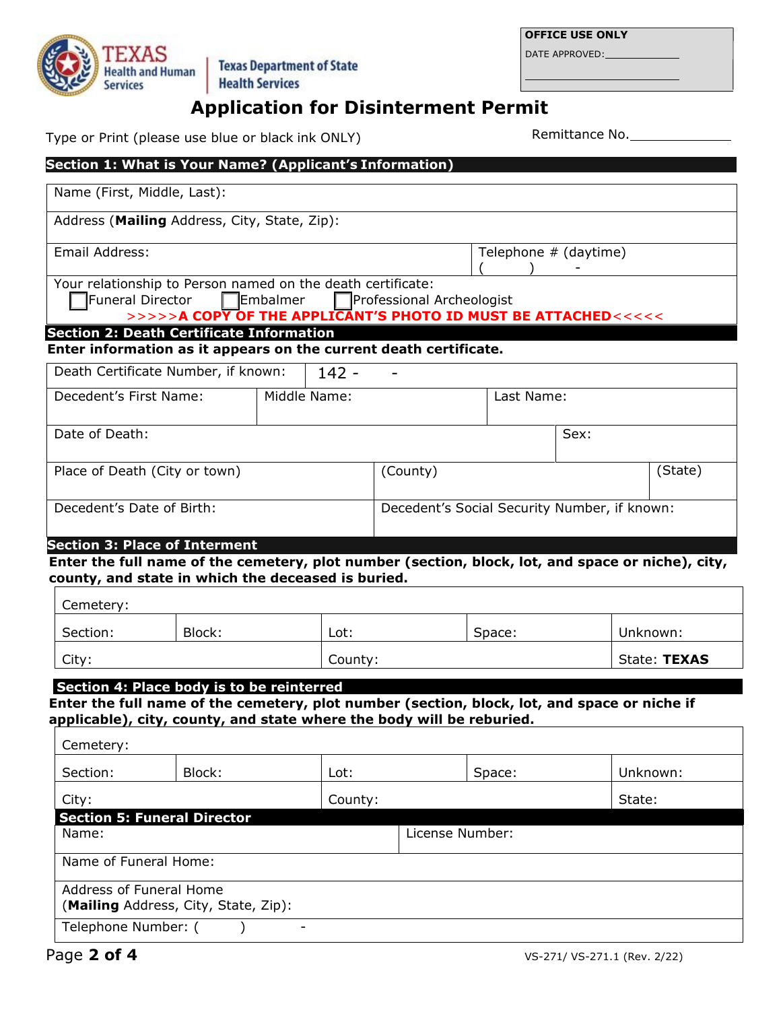DATE APPROVED:



# **Application for Disinterment Permit**

Type or Print (please use blue or black ink ONLY) Remittance No.

|                                                 |                                              | Section 1: What is Your Name? (Applicant's Information)                                                                                                                |                                              |                       |      |              |
|-------------------------------------------------|----------------------------------------------|------------------------------------------------------------------------------------------------------------------------------------------------------------------------|----------------------------------------------|-----------------------|------|--------------|
| Name (First, Middle, Last):                     |                                              |                                                                                                                                                                        |                                              |                       |      |              |
|                                                 | Address (Mailing Address, City, State, Zip): |                                                                                                                                                                        |                                              |                       |      |              |
| Email Address:                                  |                                              |                                                                                                                                                                        |                                              | Telephone # (daytime) |      |              |
| Funeral Director                                |                                              | Your relationship to Person named on the death certificate:<br>$\Box$ Embalmer<br>>>>>> <b>A COPY OF THE APPLICANT'S PHOTO ID MUST BE ATTACHED&lt;&lt;&lt;&lt;&lt;</b> | Professional Archeologist                    |                       |      |              |
| <b>Section 2: Death Certificate Information</b> |                                              | Enter information as it appears on the current death certificate.                                                                                                      |                                              |                       |      |              |
|                                                 | Death Certificate Number, if known:          | $142 -$                                                                                                                                                                |                                              |                       |      |              |
| Decedent's First Name:                          |                                              | Middle Name:                                                                                                                                                           |                                              | Last Name:            |      |              |
| Date of Death:                                  |                                              |                                                                                                                                                                        |                                              |                       | Sex: |              |
| Place of Death (City or town)                   |                                              |                                                                                                                                                                        | (County)                                     |                       |      | (State)      |
| Decedent's Date of Birth:                       |                                              |                                                                                                                                                                        | Decedent's Social Security Number, if known: |                       |      |              |
| <b>Section 3: Place of Interment</b>            |                                              | Enter the full name of the cemetery, plot number (section, block, lot, and space or niche), city,<br>county, and state in which the deceased is buried.                |                                              |                       |      |              |
| Cemetery:                                       |                                              |                                                                                                                                                                        |                                              |                       |      |              |
| Section:                                        | Block:                                       | Lot:                                                                                                                                                                   |                                              | Space:                |      | Unknown:     |
| City:                                           |                                              | County:                                                                                                                                                                |                                              |                       |      | State: TEXAS |
|                                                 | Section 4: Place body is to be reinterred    | Enter the full name of the cemetery, plot number (section, block, lot, and space or niche if<br>applicable), city, county, and state where the body will be reburied.  |                                              |                       |      |              |
| Cemetery:                                       |                                              |                                                                                                                                                                        |                                              |                       |      |              |
| Section:                                        | Block:                                       | Lot:                                                                                                                                                                   |                                              | Space:                |      | Unknown:     |
| City:                                           |                                              | County:                                                                                                                                                                |                                              |                       |      | State:       |
| Name:                                           | <b>Section 5: Funeral Director</b>           |                                                                                                                                                                        | License Number:                              |                       |      |              |
| Name of Funeral Home:                           |                                              |                                                                                                                                                                        |                                              |                       |      |              |
| Address of Funeral Home                         | (Mailing Address, City, State, Zip):         |                                                                                                                                                                        |                                              |                       |      |              |
| Telephone Number: (                             |                                              |                                                                                                                                                                        |                                              |                       |      |              |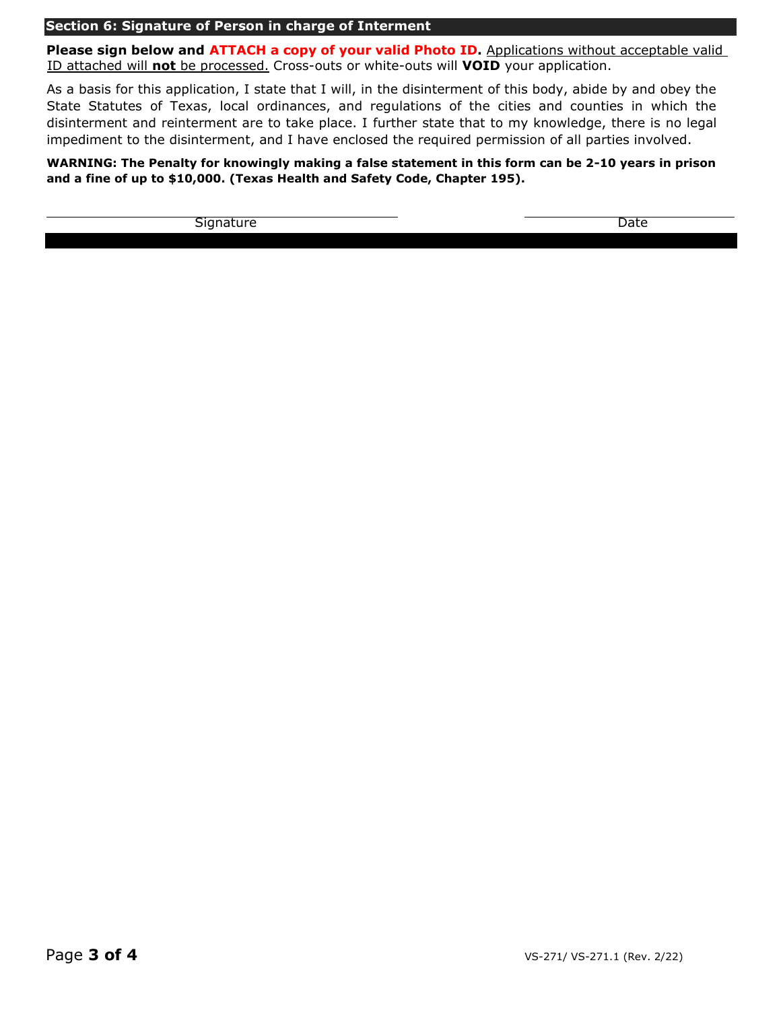#### **Section 6: Signature of Person in charge of Interment**

**Please sign below and ATTACH a copy of your valid Photo ID.** Applications without acceptable valid ID attached will **not** be processed. Cross-outs or white-outs will **VOID** your application.

As a basis for this application, I state that I will, in the disinterment of this body, abide by and obey the State Statutes of Texas, local ordinances, and regulations of the cities and counties in which the disinterment and reinterment are to take place. I further state that to my knowledge, there is no legal impediment to the disinterment, and I have enclosed the required permission of all parties involved.

**WARNING: The Penalty for knowingly making a false statement in this form can be 2-10 years in prison and a fine of up to \$10,000. (Texas Health and Safety Code, Chapter 195).**

Signature Date